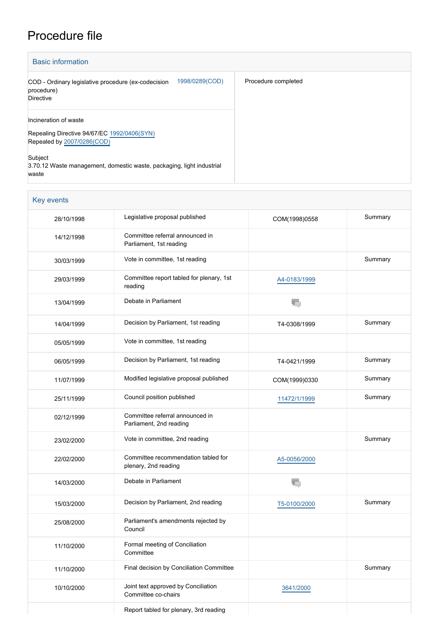## Procedure file

| <b>Basic information</b>                                                                                      |                     |
|---------------------------------------------------------------------------------------------------------------|---------------------|
| 1998/0289(COD)<br>COD - Ordinary legislative procedure (ex-codecision<br>procedure)<br>Directive              | Procedure completed |
| Incineration of waste<br>Repealing Directive 94/67/EC 1992/0406(SYN)<br>Repealed by 2007/0286(COD)<br>Subject |                     |
| 3.70.12 Waste management, domestic waste, packaging, light industrial<br>waste                                |                     |

## Key events

| 28/10/1998 | Legislative proposal published                              | COM(1998)0558 | Summary |
|------------|-------------------------------------------------------------|---------------|---------|
| 14/12/1998 | Committee referral announced in<br>Parliament, 1st reading  |               |         |
| 30/03/1999 | Vote in committee, 1st reading                              |               | Summary |
| 29/03/1999 | Committee report tabled for plenary, 1st<br>reading         | A4-0183/1999  |         |
| 13/04/1999 | Debate in Parliament                                        | T.            |         |
| 14/04/1999 | Decision by Parliament, 1st reading                         | T4-0308/1999  | Summary |
| 05/05/1999 | Vote in committee, 1st reading                              |               |         |
| 06/05/1999 | Decision by Parliament, 1st reading                         | T4-0421/1999  | Summary |
| 11/07/1999 | Modified legislative proposal published                     | COM(1999)0330 | Summary |
| 25/11/1999 | Council position published                                  | 11472/1/1999  | Summary |
| 02/12/1999 | Committee referral announced in<br>Parliament, 2nd reading  |               |         |
| 23/02/2000 | Vote in committee, 2nd reading                              |               | Summary |
| 22/02/2000 | Committee recommendation tabled for<br>plenary, 2nd reading | A5-0056/2000  |         |
| 14/03/2000 | Debate in Parliament                                        |               |         |
| 15/03/2000 | Decision by Parliament, 2nd reading                         | T5-0100/2000  | Summary |
| 25/08/2000 | Parliament's amendments rejected by<br>Council              |               |         |
| 11/10/2000 | Formal meeting of Conciliation<br>Committee                 |               |         |
| 11/10/2000 | Final decision by Conciliation Committee                    |               | Summary |
| 10/10/2000 | Joint text approved by Conciliation<br>Committee co-chairs  | 3641/2000     |         |
|            | Report tabled for plenary, 3rd reading                      |               |         |